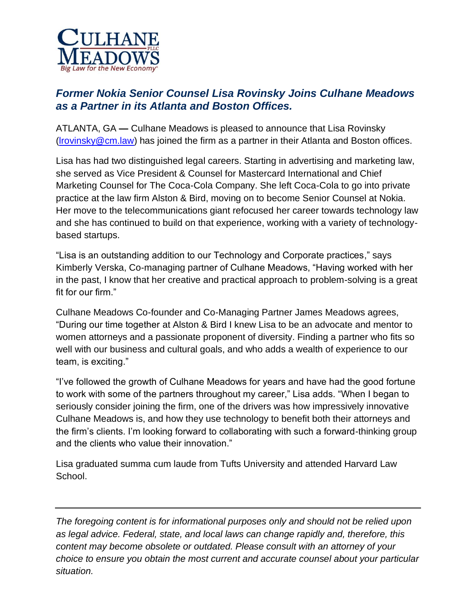

## *Former Nokia Senior Counsel Lisa Rovinsky Joins Culhane Meadows as a Partner in its Atlanta and Boston Offices.*

ATLANTA, GA **—** Culhane Meadows is pleased to announce that Lisa Rovinsky  $($ lrovinsky@cm.law) has joined the firm as a partner in their Atlanta and Boston offices.

Lisa has had two distinguished legal careers. Starting in advertising and marketing law, she served as Vice President & Counsel for Mastercard International and Chief Marketing Counsel for The Coca-Cola Company. She left Coca-Cola to go into private practice at the law firm Alston & Bird, moving on to become Senior Counsel at Nokia. Her move to the telecommunications giant refocused her career towards technology law and she has continued to build on that experience, working with a variety of technologybased startups.

"Lisa is an outstanding addition to our Technology and Corporate practices," says Kimberly Verska, Co-managing partner of Culhane Meadows, "Having worked with her in the past, I know that her creative and practical approach to problem-solving is a great fit for our firm."

Culhane Meadows Co-founder and Co-Managing Partner James Meadows agrees, "During our time together at Alston & Bird I knew Lisa to be an advocate and mentor to women attorneys and a passionate proponent of diversity. Finding a partner who fits so well with our business and cultural goals, and who adds a wealth of experience to our team, is exciting."

"I've followed the growth of Culhane Meadows for years and have had the good fortune to work with some of the partners throughout my career," Lisa adds. "When I began to seriously consider joining the firm, one of the drivers was how impressively innovative Culhane Meadows is, and how they use technology to benefit both their attorneys and the firm's clients. I'm looking forward to collaborating with such a forward-thinking group and the clients who value their innovation."

Lisa graduated summa cum laude from Tufts University and attended Harvard Law School.

*The foregoing content is for informational purposes only and should not be relied upon as legal advice. Federal, state, and local laws can change rapidly and, therefore, this content may become obsolete or outdated. Please consult with an attorney of your choice to ensure you obtain the most current and accurate counsel about your particular situation.*